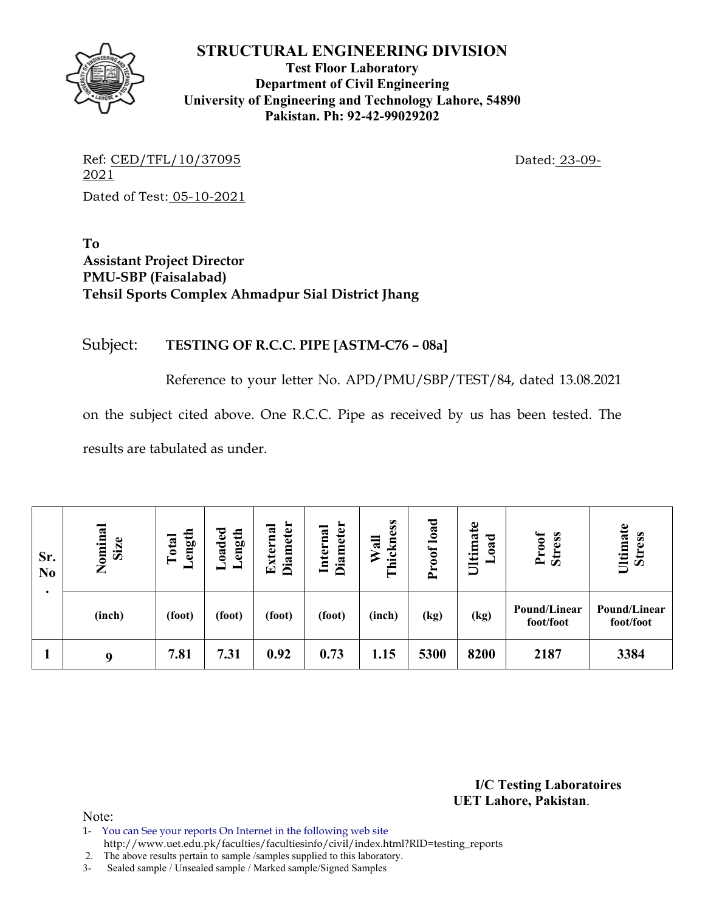

**Test Floor Laboratory Department of Civil Engineering University of Engineering and Technology Lahore, 54890 Pakistan. Ph: 92-42-99029202** 

Ref: CED/TFL/10/37095 Dated: 23-09-2021 Dated of Test: 05-10-2021

**To Assistant Project Director PMU-SBP (Faisalabad) Tehsil Sports Complex Ahmadpur Sial District Jhang** 

## Subject: **TESTING OF R.C.C. PIPE [ASTM-C76 – 08a]**

Reference to your letter No. APD/PMU/SBP/TEST/84, dated 13.08.2021

on the subject cited above. One R.C.C. Pipe as received by us has been tested. The

results are tabulated as under.

| Sr.<br>N <sub>0</sub> | Nominal<br>Size | ength<br>Total<br>▬ | oaded<br>ength | <b>Diameter</b><br>External | <b>Diameter</b><br>Internal | Thickness<br>Wall | load<br>Proof | £<br>Ultima<br>ರ<br>$\mathbf{a}$ | Proof<br><b>Stress</b>    | Ultimate<br><b>Stress</b> |
|-----------------------|-----------------|---------------------|----------------|-----------------------------|-----------------------------|-------------------|---------------|----------------------------------|---------------------------|---------------------------|
|                       | (inch)          | (foot)              | (foot)         | (foot)                      | (foot)                      | (inch)            | (kg)          | (kg)                             | Pound/Linear<br>foot/foot | Pound/Linear<br>foot/foot |
|                       | 9               | 7.81                | 7.31           | 0.92                        | 0.73                        | 1.15              | 5300          | 8200                             | 2187                      | 3384                      |

**I/C Testing Laboratoires UET Lahore, Pakistan**.

- 1- You can See your reports On Internet in the following web site
- http://www.uet.edu.pk/faculties/facultiesinfo/civil/index.html?RID=testing\_reports
- 2. The above results pertain to sample /samples supplied to this laboratory.
- 3- Sealed sample / Unsealed sample / Marked sample/Signed Samples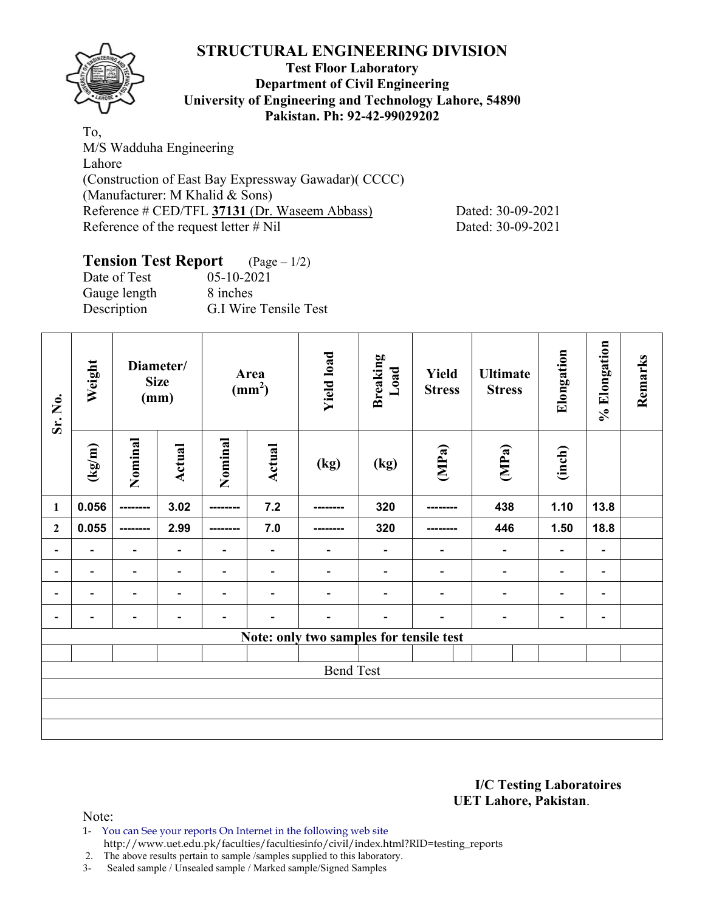

#### **Test Floor Laboratory Department of Civil Engineering University of Engineering and Technology Lahore, 54890 Pakistan. Ph: 92-42-99029202**

To, M/S Wadduha Engineering Lahore (Construction of East Bay Expressway Gawadar)( CCCC) (Manufacturer: M Khalid & Sons) Reference # CED/TFL **37131** (Dr. Waseem Abbass) Dated: 30-09-2021 Reference of the request letter # Nil Dated: 30-09-2021

## **Tension Test Report** (Page – 1/2)

| Date of Test | $05 - 10 - 2021$      |
|--------------|-----------------------|
| Gauge length | 8 inches              |
| Description  | G.I Wire Tensile Test |

| Sr. No.                      | Weight<br>Diameter/<br><b>Size</b><br>(mm) |                          | Area<br>$\text{(mm}^2)$      |                              | <b>Yield load</b>        | <b>Breaking</b><br>Load                 | Yield<br><b>Stress</b>       | <b>Ultimate</b><br><b>Stress</b> | Elongation                   | % Elongation             | Remarks                  |  |
|------------------------------|--------------------------------------------|--------------------------|------------------------------|------------------------------|--------------------------|-----------------------------------------|------------------------------|----------------------------------|------------------------------|--------------------------|--------------------------|--|
|                              | $\left(\frac{\text{kg}}{\text{m}}\right)$  | Nominal                  | Actual                       | Nominal                      | <b>Actual</b>            | (kg)                                    | (kg)                         | (MPa)                            | (MPa)                        | (inch)                   |                          |  |
| 1                            | 0.056                                      | ---------                | 3.02                         | ---------                    | 7.2                      |                                         | 320                          |                                  | 438                          | 1.10                     | 13.8                     |  |
| $\boldsymbol{2}$             | 0.055                                      | ---------                | 2.99                         | --------                     | 7.0                      |                                         | 320                          |                                  | 446                          | 1.50                     | 18.8                     |  |
| $\blacksquare$               | $\blacksquare$                             | -                        |                              | ۰                            | $\overline{\phantom{a}}$ | $\qquad \qquad \blacksquare$            | $\blacksquare$               | -                                | $\blacksquare$               | $\overline{\phantom{a}}$ | $\overline{\phantom{a}}$ |  |
| $\blacksquare$               | $\blacksquare$                             | $\overline{\phantom{a}}$ | $\overline{\phantom{0}}$     | $\qquad \qquad \blacksquare$ | $\overline{\phantom{a}}$ | $\overline{\phantom{a}}$                | $\qquad \qquad \blacksquare$ | $\overline{\phantom{a}}$         | $\overline{\phantom{a}}$     | $\overline{\phantom{a}}$ | $\overline{\phantom{a}}$ |  |
| $\qquad \qquad \blacksquare$ |                                            | $\overline{\phantom{0}}$ |                              | $\qquad \qquad \blacksquare$ |                          | $\overline{a}$                          | -                            | -                                | $\qquad \qquad \blacksquare$ | $\overline{\phantom{a}}$ | $\overline{\phantom{a}}$ |  |
|                              | $\blacksquare$                             | -                        | $\qquad \qquad \blacksquare$ | $\qquad \qquad \blacksquare$ |                          | $\overline{\phantom{a}}$                | $\overline{\phantom{0}}$     |                                  | $\qquad \qquad \blacksquare$ | $\blacksquare$           | $\blacksquare$           |  |
|                              |                                            |                          |                              |                              |                          | Note: only two samples for tensile test |                              |                                  |                              |                          |                          |  |
|                              |                                            |                          |                              |                              |                          |                                         |                              |                                  |                              |                          |                          |  |
|                              |                                            |                          |                              |                              |                          | <b>Bend Test</b>                        |                              |                                  |                              |                          |                          |  |
|                              |                                            |                          |                              |                              |                          |                                         |                              |                                  |                              |                          |                          |  |
|                              |                                            |                          |                              |                              |                          |                                         |                              |                                  |                              |                          |                          |  |
|                              |                                            |                          |                              |                              |                          |                                         |                              |                                  |                              |                          |                          |  |

**I/C Testing Laboratoires UET Lahore, Pakistan**.

Note:

1- You can See your reports On Internet in the following web site http://www.uet.edu.pk/faculties/facultiesinfo/civil/index.html?RID=testing\_reports

2. The above results pertain to sample /samples supplied to this laboratory.

3- Sealed sample / Unsealed sample / Marked sample/Signed Samples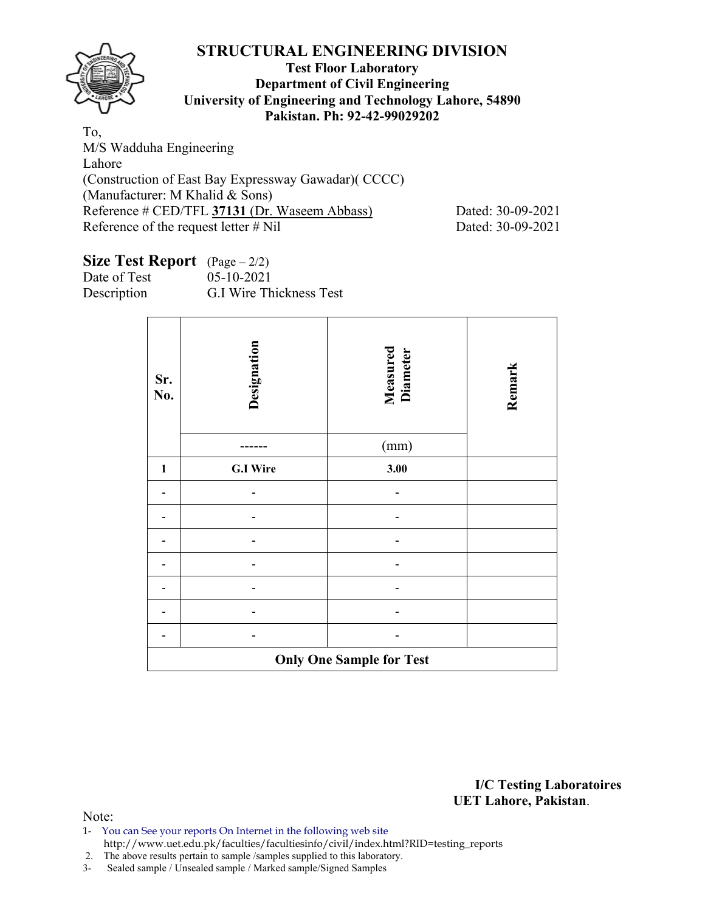

#### **Test Floor Laboratory Department of Civil Engineering University of Engineering and Technology Lahore, 54890 Pakistan. Ph: 92-42-99029202**

To, M/S Wadduha Engineering Lahore (Construction of East Bay Expressway Gawadar)( CCCC) (Manufacturer: M Khalid & Sons) Reference # CED/TFL 37131 (Dr. Waseem Abbass) Dated: 30-09-2021 Reference of the request letter # Nil Dated: 30-09-2021

## **Size Test Report** (Page – 2/2)

| Date of Test | $05 - 10 - 2021$        |
|--------------|-------------------------|
| Description  | G.I Wire Thickness Test |

| Sr.<br>No.   | Designation     | Measured<br>Diameter            | Remark |
|--------------|-----------------|---------------------------------|--------|
|              |                 | (mm)                            |        |
| $\mathbf{1}$ | <b>G.I Wire</b> | 3.00                            |        |
|              |                 |                                 |        |
|              |                 |                                 |        |
|              |                 |                                 |        |
|              |                 |                                 |        |
|              |                 |                                 |        |
|              |                 |                                 |        |
|              |                 |                                 |        |
|              |                 | <b>Only One Sample for Test</b> |        |

**I/C Testing Laboratoires UET Lahore, Pakistan**.

- 1- You can See your reports On Internet in the following web site http://www.uet.edu.pk/faculties/facultiesinfo/civil/index.html?RID=testing\_reports
- 2. The above results pertain to sample /samples supplied to this laboratory.
- 3- Sealed sample / Unsealed sample / Marked sample/Signed Samples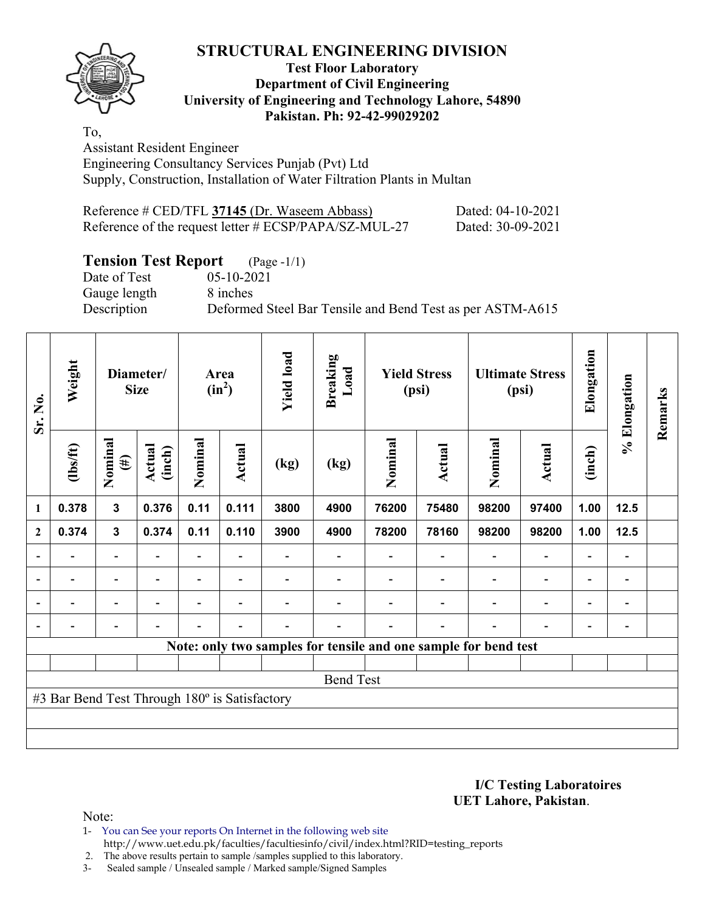

#### **Test Floor Laboratory Department of Civil Engineering University of Engineering and Technology Lahore, 54890 Pakistan. Ph: 92-42-99029202**

To, Assistant Resident Engineer Engineering Consultancy Services Punjab (Pvt) Ltd Supply, Construction, Installation of Water Filtration Plants in Multan

| Reference # CED/TFL 37145 (Dr. Waseem Abbass)         | Dated: 04-10-2021 |
|-------------------------------------------------------|-------------------|
| Reference of the request letter # ECSP/PAPA/SZ-MUL-27 | Dated: 30-09-2021 |

# **Tension Test Report** (Page -1/1)<br>Date of Test (05-10-2021)

Gauge length 8 inches

 $05-10-2021$ Description Deformed Steel Bar Tensile and Bend Test as per ASTM-A615

| Sr. No.                  | Weight                                        | Diameter/<br><b>Size</b> |                          | Area<br>$(in^2)$         |                | <b>Yield load</b>        | <b>Breaking</b><br>Load | <b>Yield Stress</b><br>(psi) |                          |                                                                 | <b>Ultimate Stress</b><br>(psi) | Elongation               | % Elongation             | Remarks |
|--------------------------|-----------------------------------------------|--------------------------|--------------------------|--------------------------|----------------|--------------------------|-------------------------|------------------------------|--------------------------|-----------------------------------------------------------------|---------------------------------|--------------------------|--------------------------|---------|
|                          | $\frac{2}{10}$                                | Nominal<br>$(\#)$        | Actual<br>(inch)         | Nominal                  | <b>Actual</b>  | (kg)                     | (kg)                    | Nominal                      | Actual                   | Nominal                                                         | Actual                          | (inch)                   |                          |         |
| $\mathbf{1}$             | 0.378                                         | 3                        | 0.376                    | 0.11                     | 0.111          | 3800                     | 4900                    | 76200                        | 75480                    | 98200                                                           | 97400                           | 1.00                     | 12.5                     |         |
| $\mathbf{2}$             | 0.374                                         | $\mathbf{3}$             | 0.374                    | 0.11                     | 0.110          | 3900                     | 4900                    | 78200                        | 78160                    | 98200                                                           | 98200                           | 1.00                     | 12.5                     |         |
|                          |                                               | $\overline{a}$           |                          |                          |                |                          |                         |                              |                          |                                                                 | $\overline{a}$                  | -                        |                          |         |
| $\overline{\phantom{a}}$ | $\overline{\phantom{0}}$                      | $\blacksquare$           | $\overline{\phantom{0}}$ | $\overline{\phantom{0}}$ | $\blacksquare$ |                          |                         |                              | $\overline{\phantom{a}}$ | $\overline{\phantom{a}}$                                        | $\overline{\phantom{a}}$        | $\overline{\phantom{a}}$ | $\overline{\phantom{0}}$ |         |
| $\blacksquare$           | $\blacksquare$                                | $\overline{\phantom{0}}$ | ۰                        | $\blacksquare$           | $\blacksquare$ |                          |                         |                              |                          | $\overline{\phantom{0}}$                                        | $\overline{a}$                  | $\overline{\phantom{0}}$ | $\blacksquare$           |         |
|                          | -                                             | -                        | $\blacksquare$           | $\blacksquare$           | $\blacksquare$ | $\overline{\phantom{0}}$ |                         |                              | $\blacksquare$           | ۰                                                               | $\overline{a}$                  | $\overline{\phantom{a}}$ | $\overline{\phantom{0}}$ |         |
|                          |                                               |                          |                          |                          |                |                          |                         |                              |                          | Note: only two samples for tensile and one sample for bend test |                                 |                          |                          |         |
|                          |                                               |                          |                          |                          |                |                          |                         |                              |                          |                                                                 |                                 |                          |                          |         |
|                          |                                               |                          |                          |                          |                |                          | <b>Bend Test</b>        |                              |                          |                                                                 |                                 |                          |                          |         |
|                          | #3 Bar Bend Test Through 180° is Satisfactory |                          |                          |                          |                |                          |                         |                              |                          |                                                                 |                                 |                          |                          |         |
|                          |                                               |                          |                          |                          |                |                          |                         |                              |                          |                                                                 |                                 |                          |                          |         |
|                          |                                               |                          |                          |                          |                |                          |                         |                              |                          |                                                                 |                                 |                          |                          |         |

**I/C Testing Laboratoires UET Lahore, Pakistan**.

- 1- You can See your reports On Internet in the following web site http://www.uet.edu.pk/faculties/facultiesinfo/civil/index.html?RID=testing\_reports
- 2. The above results pertain to sample /samples supplied to this laboratory.
- 3- Sealed sample / Unsealed sample / Marked sample/Signed Samples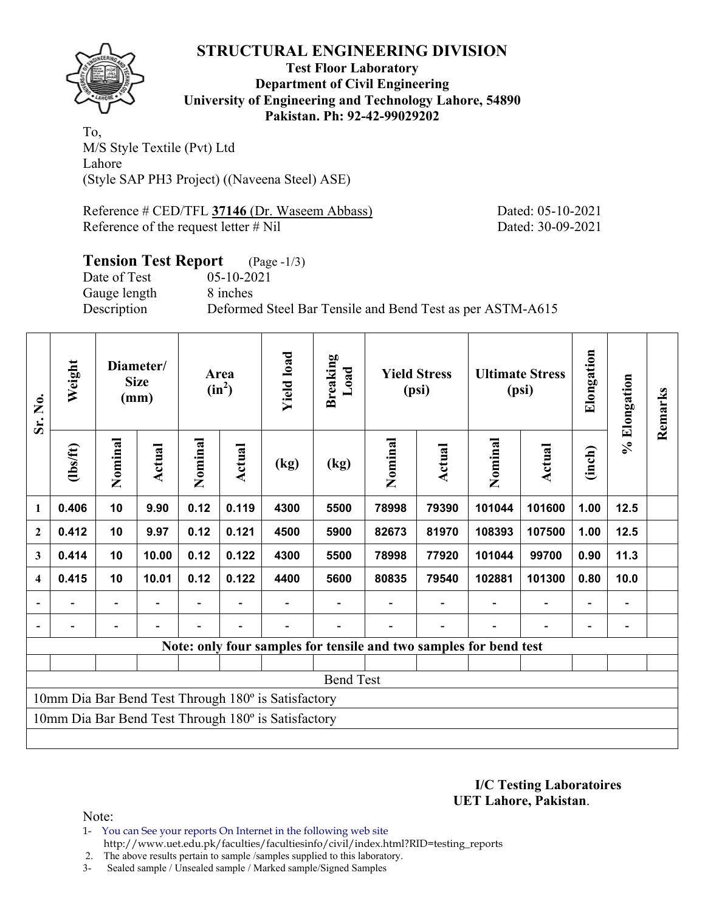

**Test Floor Laboratory Department of Civil Engineering University of Engineering and Technology Lahore, 54890 Pakistan. Ph: 92-42-99029202** 

To, M/S Style Textile (Pvt) Ltd Lahore (Style SAP PH3 Project) ((Naveena Steel) ASE)

Reference # CED/TFL **37146** (Dr. Waseem Abbass) Dated: 05-10-2021 Reference of the request letter # Nil Dated: 30-09-2021

## **Tension Test Report** (Page -1/3) Date of Test 05-10-2021 Gauge length 8 inches Description Deformed Steel Bar Tensile and Bend Test as per ASTM-A615

| Sr. No.                                             | Weight   | Diameter/<br><b>Size</b><br>(mm) |        | Area<br>$(in^2)$ |        | <b>Yield load</b>                                   | <b>Breaking</b><br>Load                                           | <b>Yield Stress</b><br>(psi) |        | <b>Ultimate Stress</b><br>(psi) |                          | Elongation               | % Elongation   | Remarks |
|-----------------------------------------------------|----------|----------------------------------|--------|------------------|--------|-----------------------------------------------------|-------------------------------------------------------------------|------------------------------|--------|---------------------------------|--------------------------|--------------------------|----------------|---------|
|                                                     | (1bs/ft) | Nominal                          | Actual | Nominal          | Actual | (kg)                                                | (kg)                                                              | Nominal                      | Actual | Nominal                         | <b>Actual</b>            | (inch)                   |                |         |
| 1                                                   | 0.406    | 10                               | 9.90   | 0.12             | 0.119  | 4300                                                | 5500                                                              | 78998                        | 79390  | 101044                          | 101600                   | 1.00                     | 12.5           |         |
| $\overline{2}$                                      | 0.412    | 10                               | 9.97   | 0.12             | 0.121  | 4500                                                | 5900                                                              | 82673                        | 81970  | 108393                          | 107500                   | 1.00                     | 12.5           |         |
| 3                                                   | 0.414    | 10                               | 10.00  | 0.12             | 0.122  | 4300                                                | 5500                                                              | 78998                        | 77920  | 101044                          | 99700                    | 0.90                     | 11.3           |         |
| 4                                                   | 0.415    | 10                               | 10.01  | 0.12             | 0.122  | 4400                                                | 5600                                                              | 80835                        | 79540  | 102881                          | 101300                   | 0.80                     | 10.0           |         |
|                                                     |          |                                  |        |                  |        |                                                     |                                                                   |                              |        |                                 |                          |                          |                |         |
| $\blacksquare$                                      |          |                                  |        |                  |        |                                                     |                                                                   |                              |        | $\overline{a}$                  | $\overline{\phantom{0}}$ | $\overline{\phantom{0}}$ | $\overline{a}$ |         |
|                                                     |          |                                  |        |                  |        |                                                     | Note: only four samples for tensile and two samples for bend test |                              |        |                                 |                          |                          |                |         |
|                                                     |          |                                  |        |                  |        |                                                     |                                                                   |                              |        |                                 |                          |                          |                |         |
|                                                     |          |                                  |        |                  |        |                                                     | <b>Bend Test</b>                                                  |                              |        |                                 |                          |                          |                |         |
| 10mm Dia Bar Bend Test Through 180° is Satisfactory |          |                                  |        |                  |        |                                                     |                                                                   |                              |        |                                 |                          |                          |                |         |
|                                                     |          |                                  |        |                  |        | 10mm Dia Bar Bend Test Through 180° is Satisfactory |                                                                   |                              |        |                                 |                          |                          |                |         |
|                                                     |          |                                  |        |                  |        |                                                     |                                                                   |                              |        |                                 |                          |                          |                |         |

**I/C Testing Laboratoires UET Lahore, Pakistan**.

- 1- You can See your reports On Internet in the following web site http://www.uet.edu.pk/faculties/facultiesinfo/civil/index.html?RID=testing\_reports
- 2. The above results pertain to sample /samples supplied to this laboratory.
- 3- Sealed sample / Unsealed sample / Marked sample/Signed Samples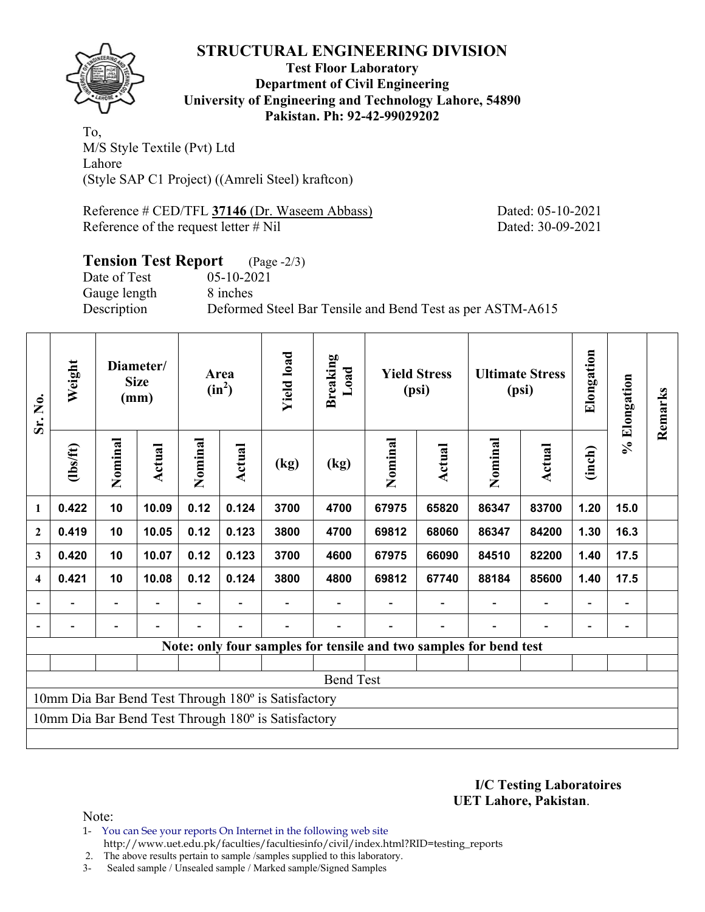

#### **Test Floor Laboratory Department of Civil Engineering University of Engineering and Technology Lahore, 54890 Pakistan. Ph: 92-42-99029202**

To, M/S Style Textile (Pvt) Ltd Lahore (Style SAP C1 Project) ((Amreli Steel) kraftcon)

Reference # CED/TFL **37146** (Dr. Waseem Abbass) Dated: 05-10-2021 Reference of the request letter # Nil Dated: 30-09-2021

#### **Tension Test Report** (Page -2/3) Date of Test 05-10-2021 Gauge length 8 inches Description Deformed Steel Bar Tensile and Bend Test as per ASTM-A615

| Sr. No.                  | Weight                                              | Diameter/<br><b>Size</b><br>(mm) |        | Area<br>$(in^2)$ |        | <b>Yield load</b>                                   | <b>Breaking</b><br>Load                                           | <b>Yield Stress</b><br>(psi) |        | <b>Ultimate Stress</b><br>(psi) |                          | Elongation               | % Elongation | Remarks |
|--------------------------|-----------------------------------------------------|----------------------------------|--------|------------------|--------|-----------------------------------------------------|-------------------------------------------------------------------|------------------------------|--------|---------------------------------|--------------------------|--------------------------|--------------|---------|
|                          | (1bs/ft)                                            | Nominal                          | Actual | Nominal          | Actual | (kg)                                                | (kg)                                                              | Nominal                      | Actual | Nominal                         | <b>Actual</b>            | (inch)                   |              |         |
| $\mathbf{1}$             | 0.422                                               | 10                               | 10.09  | 0.12             | 0.124  | 3700                                                | 4700                                                              | 67975                        | 65820  | 86347                           | 83700                    | 1.20                     | 15.0         |         |
| $\mathbf{2}$             | 0.419                                               | 10                               | 10.05  | 0.12             | 0.123  | 3800                                                | 4700                                                              | 69812                        | 68060  | 86347                           | 84200                    | 1.30                     | 16.3         |         |
| 3                        | 0.420                                               | 10                               | 10.07  | 0.12             | 0.123  | 3700                                                | 4600                                                              | 67975                        | 66090  | 84510                           | 82200                    | 1.40                     | 17.5         |         |
| $\boldsymbol{4}$         | 0.421                                               | 10                               | 10.08  | 0.12             | 0.124  | 3800                                                | 4800                                                              | 69812                        | 67740  | 88184                           | 85600                    | 1.40                     | 17.5         |         |
| $\overline{\phantom{a}}$ |                                                     | Ξ.                               |        |                  |        |                                                     |                                                                   |                              |        |                                 | $\overline{\phantom{0}}$ | $\overline{\phantom{0}}$ |              |         |
| $\overline{\phantom{a}}$ |                                                     |                                  |        |                  |        |                                                     |                                                                   |                              |        |                                 |                          |                          |              |         |
|                          |                                                     |                                  |        |                  |        |                                                     | Note: only four samples for tensile and two samples for bend test |                              |        |                                 |                          |                          |              |         |
|                          |                                                     |                                  |        |                  |        |                                                     |                                                                   |                              |        |                                 |                          |                          |              |         |
|                          |                                                     |                                  |        |                  |        |                                                     | <b>Bend Test</b>                                                  |                              |        |                                 |                          |                          |              |         |
|                          | 10mm Dia Bar Bend Test Through 180° is Satisfactory |                                  |        |                  |        |                                                     |                                                                   |                              |        |                                 |                          |                          |              |         |
|                          |                                                     |                                  |        |                  |        | 10mm Dia Bar Bend Test Through 180° is Satisfactory |                                                                   |                              |        |                                 |                          |                          |              |         |
|                          |                                                     |                                  |        |                  |        |                                                     |                                                                   |                              |        |                                 |                          |                          |              |         |

**I/C Testing Laboratoires UET Lahore, Pakistan**.

- 1- You can See your reports On Internet in the following web site http://www.uet.edu.pk/faculties/facultiesinfo/civil/index.html?RID=testing\_reports
- 2. The above results pertain to sample /samples supplied to this laboratory.
- 3- Sealed sample / Unsealed sample / Marked sample/Signed Samples